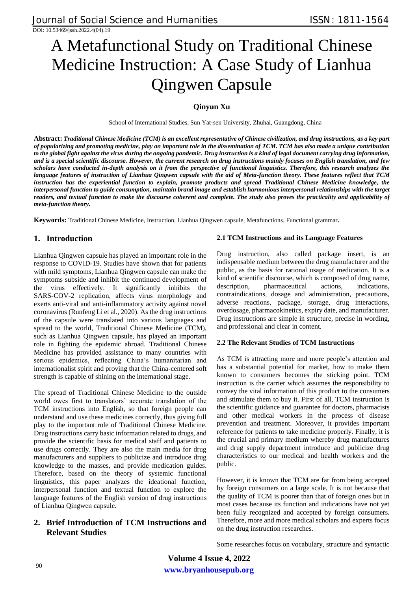# A Metafunctional Study on Traditional Chinese Medicine Instruction: A Case Study of Lianhua Qingwen Capsule

# **Qinyun Xu**

School of International Studies, Sun Yat-sen University, Zhuhai, Guangdong, China

**Abstract:** *Traditional Chinese Medicine (TCM) is an excellent representative of Chinese civilization, and drug instructions, as a key part of popularizing and promoting medicine, play an important role in the dissemination of TCM. TCM has also made a unique contribution to the global fight against the virus during the ongoing pandemic. Drug instruction is a kind of legal document carrying drug information, and is a special scientific discourse. However, the current research on drug instructions mainly focuses on English translation, and few scholars have conducted in-depth analysis on it from the perspective of functional linguistics. Therefore, this research analyzes the language features of instruction of Lianhua Qingwen capsule with the aid of Meta-function theory. These features reflect that TCM instruction has the experiential function to explain, promote products and spread Traditional Chinese Medicine knowledge, the interpersonal function to guide consumption, maintain brand image and establish harmonious interpersonal relationships with the target readers, and textual function to make the discourse coherent and complete. The study also proves the practicality and applicability of meta-function theory.*

**Keywords:** Traditional Chinese Medicine, Instruction, Lianhua Qingwen capsule, Metafunctions, Functional grammar**.**

# **1. Introduction**

Lianhua Qingwen capsule has played an important role in the response to COVID-19. Studies have shown that for patients with mild symptoms, Lianhua Qingwen capsule can make the symptoms subside and inhibit the continued development of the virus effectively. It significantly inhibits the SARS-COV-2 replication, affects virus morphology and exerts anti-viral and anti-inflammatory activity against novel coronavirus (Runfeng Li et al., 2020). As the drug instructions of the capsule were translated into various languages and spread to the world, Traditional Chinese Medicine (TCM), such as Lianhua Qingwen capsule, has played an important role in fighting the epidemic abroad. Traditional Chinese Medicine has provided assistance to many countries with serious epidemics, reflecting China's humanitarian and internationalist spirit and proving that the China-centered soft strength is capable of shining on the international stage.

The spread of Traditional Chinese Medicine to the outside world owes first to translators' accurate translation of the TCM instructions into English, so that foreign people can understand and use these medicines correctly, thus giving full play to the important role of Traditional Chinese Medicine. Drug instructions carry basic information related to drugs, and provide the scientific basis for medical staff and patients to use drugs correctly. They are also the main media for drug manufacturers and suppliers to publicize and introduce drug knowledge to the masses, and provide medication guides. Therefore, based on the theory of systemic functional linguistics, this paper analyzes the ideational function, interpersonal function and textual function to explore the language features of the English version of drug instructions of Lianhua Qingwen capsule.

# **2. Brief Introduction of TCM Instructions and Relevant Studies**

## **2.1 TCM Instructions and its Language Features**

Drug instruction, also called package insert, is an indispensable medium between the drug manufacturer and the public, as the basis for rational usage of medication. It is a kind of scientific discourse, which is composed of drug name, description, pharmaceutical actions, indications, contraindications, dosage and administration, precautions, adverse reactions, package, storage, drug interactions, overdosage, pharmacokinetics, expiry date, and manufacturer. Drug instructions are simple in structure, precise in wording, and professional and clear in content.

## **2.2 The Relevant Studies of TCM Instructions**

As TCM is attracting more and more people's attention and has a substantial potential for market, how to make them known to consumers becomes the sticking point. TCM instruction is the carrier which assumes the responsibility to convey the vital information of this product to the consumers and stimulate them to buy it. First of all, TCM instruction is the scientific guidance and guarantee for doctors, pharmacists and other medical workers in the process of disease prevention and treatment. Moreover, it provides important reference for patients to take medicine properly. Finally, it is the crucial and primary medium whereby drug manufactures and drug supply department introduce and publicize drug characteristics to our medical and health workers and the public.

However, it is known that TCM are far from being accepted by foreign consumers on a large scale. It is not because that the quality of TCM is poorer than that of foreign ones but in most cases because its function and indications have not yet been fully recognized and accepted by foreign consumers. Therefore, more and more medical scholars and experts focus on the drug instruction researches.

Some researches focus on vocabulary, structure and syntactic

**www.bryanhousepub.org Volume 4 Issue 4, 2022**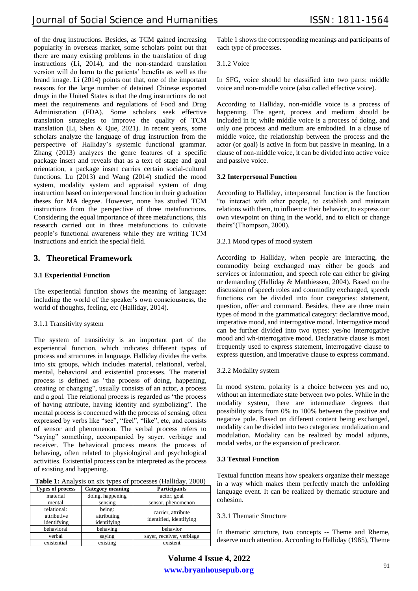of the drug instructions. Besides, as TCM gained increasing popularity in overseas market, some scholars point out that there are many existing problems in the translation of drug instructions (Li, 2014), and the non-standard translation version will do harm to the patients' benefits as well as the brand image. Li (2014) points out that, one of the important reasons for the large number of detained Chinese exported drugs in the United States is that the drug instructions do not meet the requirements and regulations of Food and Drug Administration (FDA). Some scholars seek effective translation strategies to improve the quality of TCM translation (Li, Shen & Que, 2021). In recent years, some scholars analyze the language of drug instruction from the perspective of Halliday's systemic functional grammar. Zhang (2013) analyzes the genre features of a specific package insert and reveals that as a text of stage and goal orientation, a package insert carries certain social-cultural functions. Lu (2013) and Wang (2014) studied the mood system, modality system and appraisal system of drug instruction based on interpersonal function in their graduation theses for MA degree. However, none has studied TCM instructions from the perspective of three metafunctions. Considering the equal importance of three metafunctions, this research carried out in three metafunctions to cultivate people's functional awareness while they are writing TCM instructions and enrich the special field.

# **3. Theoretical Framework**

## **3.1 Experiential Function**

The experiential function shows the meaning of language: including the world of the speaker's own consciousness, the world of thoughts, feeling, etc (Halliday, 2014).

## 3.1.1 Transitivity system

The system of transitivity is an important part of the experiential function, which indicates different types of process and structures in language. Halliday divides the verbs into six groups, which includes material, relational, verbal, mental, behavioral and existential processes. The material process is defined as "the process of doing, happening, creating or changing", usually consists of an actor, a process and a goal. The relational process is regarded as "the process of having attribute, having identity and symbolizing". The mental process is concerned with the process of sensing, often expressed by verbs like "see", "feel", "like", etc, and consists of sensor and phenomenon. The verbal process refers to "saying" something, accompanied by sayer, verbiage and receiver. The behavioral process means the process of behaving, often related to physiological and psychological activities. Existential process can be interpreted as the process of existing and happening.

**Table 1:** Analysis on six types of processes (Halliday, 2000) **Types** of process | Category meaning | Participants

| Types of process                          | Cattgory meaning                     | 1 ат истраниз                                 |
|-------------------------------------------|--------------------------------------|-----------------------------------------------|
| material                                  | doing, happening                     | actor, goal                                   |
| mental                                    | sensing                              | sensor, phenomenon                            |
| relational:<br>attributive<br>identifying | being:<br>attributing<br>identifying | carrier, attribute<br>identified, identifying |
| behavioral                                | behaving                             | behavior                                      |
| verbal                                    | saying                               | sayer, receiver, verbiage                     |
| existential                               | existing                             | existent                                      |

Table 1 shows the corresponding meanings and participants of each type of processes.

## 3.1.2 Voice

In SFG, voice should be classified into two parts: middle voice and non-middle voice (also called effective voice).

According to Halliday, non-middle voice is a process of happening. The agent, process and medium should be included in it; while middle voice is a process of doing, and only one process and medium are embodied. In a clause of middle voice, the relationship between the process and the actor (or goal) is active in form but passive in meaning. In a clause of non-middle voice, it can be divided into active voice and passive voice.

## **3.2 Interpersonal Function**

According to Halliday, interpersonal function is the function "to interact with other people, to establish and maintain relations with them, to influence their behavior, to express our own viewpoint on thing in the world, and to elicit or change theirs"(Thompson, 2000).

## 3.2.1 Mood types of mood system

According to Halliday, when people are interacting, the commodity being exchanged may either be goods and services or information, and speech role can either be giving or demanding (Halliday & Matthiessen, 2004). Based on the discussion of speech roles and commodity exchanged, speech functions can be divided into four categories: statement, question, offer and command. Besides, there are three main types of mood in the grammatical category: declarative mood, imperative mood, and interrogative mood. Interrogative mood can be further divided into two types: yes/no interrogative mood and wh-interrogative mood. Declarative clause is most frequently used to express statement, interrogative clause to express question, and imperative clause to express command.

## 3.2.2 Modality system

In mood system, polarity is a choice between yes and no, without an intermediate state between two poles. While in the modality system, there are intermediate degrees that possibility starts from 0% to 100% between the positive and negative pole. Based on different content being exchanged, modality can be divided into two categories: modalization and modulation. Modality can be realized by modal adjunts, modal verbs, or the expansion of predicator.

## **3.3 Textual Function**

Textual function means how speakers organize their message in a way which makes them perfectly match the unfolding language event. It can be realized by thematic structure and cohesion.

## 3.3.1 Thematic Structure

In thematic structure, two concepts -- Theme and Rheme, deserve much attention. According to Halliday (1985), Theme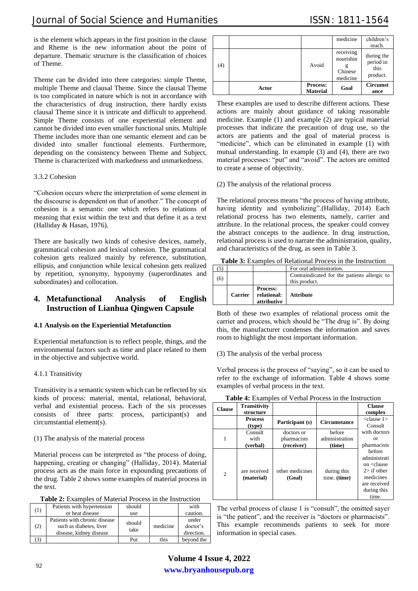is the element which appears in the first position in the clause and Rheme is the new information about the point of departure. Thematic structure is the classification of choices of Theme.

Theme can be divided into three categories: simple Theme, multiple Theme and clausal Theme. Since the clausal Theme is too complicated in nature which is not in accordance with the characteristics of drug instruction, there hardly exists clausal Theme since it is intricate and difficult to apprehend. Simple Theme consists of one experiential element and cannot be divided into even smaller functional units. Multiple Theme includes more than one semantic element and can be divided into smaller functional elements. Furthermore, depending on the consistency between Theme and Subject, Theme is characterized with markedness and unmarkedness.

## 3.3.2 Cohesion

"Cohesion occurs where the interpretation of some element in the discourse is dependent on that of another." The concept of cohesion is a semantic one which refers to relations of meaning that exist within the text and that define it as a text (Halliday & Hasan, 1976).

There are basically two kinds of cohesive devices, namely, grammatical cohesion and lexical cohesion. The grammatical cohesion gets realized mainly by reference, substitution, ellipsis, and conjunction while lexical cohesion gets realized by repetition, synonymy, hyponymy (superordinates and subordinates) and collocation.

# **4. Metafunctional Analysis of English Instruction of Lianhua Qingwen Capsule**

## **4.1 Analysis on the Experiential Metafunction**

Experiential metafunction is to reflect people, things, and the environmental factors such as time and place related to them in the objective and subjective world.

## 4.1.1 Transitivity

Transitivity is a semantic system which can be reflected by six kinds of process: material, mental, relational, behavioral, verbal and existential process. Each of the six processes consists of three parts: process, participant(s) and circumstantial element(s).

## (1) The analysis of the material process

Material process can be interpreted as "the process of doing, happening, creating or changing" (Halliday, 2014). Material process acts as the main force in expounding precautions of the drug. Table 2 shows some examples of material process in the text.

| Table 2: Examples of Material Process in the Instruction |
|----------------------------------------------------------|
|----------------------------------------------------------|

|     | <b>Table 2.</b> Examples of Material Flocess in the mistriction |        |          |            |  |
|-----|-----------------------------------------------------------------|--------|----------|------------|--|
| (1) | Patients with hypertension                                      | should |          | with       |  |
|     | or heat disease                                                 | use    |          | caution.   |  |
|     | Patients with chronic disease                                   | should |          | under      |  |
| (2) | such as diabetes, liver                                         | take   | medicine | doctor's   |  |
|     | disease, kidney disease                                         |        |          | direction. |  |
|     |                                                                 | Put    | this     | beyond the |  |

|     |       |                                    | medicine                                      | children's<br>reach.                        |
|-----|-------|------------------------------------|-----------------------------------------------|---------------------------------------------|
| (4) |       | Avoid                              | receiving<br>nourishin<br>Chinese<br>medicine | during the<br>period in<br>this<br>product. |
|     | Actor | <b>Process:</b><br><b>Material</b> | Goal                                          | <b>Circumst</b><br>ance                     |

These examples are used to describe different actions. These actions are mainly about guidance of taking reasonable medicine. Example (1) and example (2) are typical material processes that indicate the precaution of drug use, so the actors are patients and the goal of material process is "medicine", which can be eliminated in example (1) with mutual understanding. In example (3) and (4), there are two material processes: "put" and "avoid". The actors are omitted to create a sense of objectivity.

(2) The analysis of the relational process

The relational process means "the process of having attribute, having identity and symbolizing".(Halliday, 2014) Each relational process has two elements, namely, carrier and attribute. In the relational process, the speaker could convey the abstract concepts to the audience. In drug instruction, relational process is used to narrate the administration, quality, and characteristics of the drug, as seen in Table 3.

**Table 3:** Examples of Relational Process in the Instruction

|                |                                               | For oral administration.                                      |
|----------------|-----------------------------------------------|---------------------------------------------------------------|
|                |                                               | Contraindicated for the patients allergic to<br>this product. |
| <b>Carrier</b> | <b>Process:</b><br>relational:<br>attributive | <b>Attribute</b>                                              |

Both of these two examples of relational process omit the carrier and process, which should be "The drug is". By doing this, the manufacturer condenses the information and saves room to highlight the most important information.

(3) The analysis of the verbal process

Verbal process is the process of "saying", so it can be used to refer to the exchange of information. Table 4 shows some examples of verbal process in the text.

| Tuble is Engined of Telegrategory in the instruction |                                  |                           |                             |                                                                                                                              |
|------------------------------------------------------|----------------------------------|---------------------------|-----------------------------|------------------------------------------------------------------------------------------------------------------------------|
| <b>Clause</b>                                        | <b>Transitivity</b><br>structure |                           |                             | <b>Clause</b><br>complex                                                                                                     |
|                                                      | <b>Process</b><br>(type)         | Participant (s)           | <b>Circumstance</b>         | $\langle$ clause 1><br>Consult                                                                                               |
|                                                      | Consult                          | doctors or                | before                      | with doctors                                                                                                                 |
| 1                                                    | with                             | pharmacists               | administration              | or                                                                                                                           |
|                                                      | (verbal)                         | (receiver)                | (time)                      | pharmacists                                                                                                                  |
| $\overline{c}$                                       | are received<br>(material)       | other medicines<br>(Goal) | during this<br>time. (time) | before<br>administrati<br>on <clause<br>2 &gt; if other<br/>medicines<br/>are received<br/>during this<br/>time.</clause<br> |

**Table 4:** Examples of Verbal Process in the Instruction

The verbal process of clause 1 is "consult", the omitted sayer is "the patient", and the receiver is "doctors or pharmacists". This example recommends patients to seek for more information in special cases.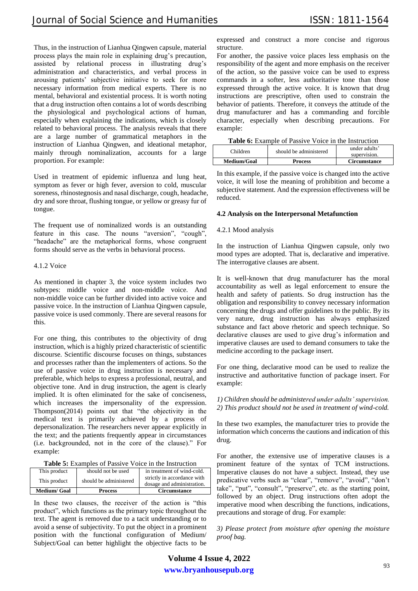Thus, in the instruction of Lianhua Qingwen capsule, material process plays the main role in explaining drug's precaution, assisted by relational process in illustrating drug's administration and characteristics, and verbal process in arousing patients' subjective initiative to seek for more necessary information from medical experts. There is no mental, behavioral and existential process. It is worth noting that a drug instruction often contains a lot of words describing the physiological and psychological actions of human, especially when explaining the indications, which is closely related to behavioral process. The analysis reveals that there are a large number of grammatical metaphors in the instruction of Lianhua Qingwen, and ideational metaphor, mainly through nominalization, accounts for a large proportion. For example:

Used in treatment of epidemic influenza and lung heat, symptom as fever or high fever, aversion to cold, muscular soreness, rhinostegnosis and nasal discharge, cough, headache, dry and sore throat, flushing tongue, or yellow or greasy fur of tongue.

The frequent use of nominalized words is an outstanding feature in this case. The nouns "aversion", "cough", "headache" are the metaphorical forms, whose congruent forms should serve as the verbs in behavioral process.

#### 4.1.2 Voice

As mentioned in chapter 3, the voice system includes two subtypes: middle voice and non-middle voice. And non-middle voice can be further divided into active voice and passive voice. In the instruction of Lianhua Qingwen capsule, passive voice is used commonly. There are several reasons for this.

For one thing, this contributes to the objectivity of drug instruction, which is a highly prized characteristic of scientific discourse. Scientific discourse focuses on things, substances and processes rather than the implementers of actions. So the use of passive voice in drug instruction is necessary and preferable, which helps to express a professional, neutral, and objective tone. And in drug instruction, the agent is clearly implied. It is often eliminated for the sake of conciseness, which increases the impersonality of the expression. Thompson(2014) points out that "the objectivity in the medical text is primarily achieved by a process of depersonalization. The researchers never appear explicitly in the text; and the patients frequently appear in circumstances (i.e. backgrounded, not in the core of the clause)." For example:

| This product        | should not be used     | in treatment of wind-cold.  |
|---------------------|------------------------|-----------------------------|
|                     |                        |                             |
| This product        | should be administered | strictly in accordance with |
|                     |                        | dosage and administration.  |
|                     |                        |                             |
| <b>Medium/ Goal</b> | <b>Process</b>         | <b>Circumstance</b>         |

In these two clauses, the receiver of the action is "this product", which functions as the primary topic throughout the text. The agent is removed due to a tacit understanding or to avoid a sense of subjectivity. To put the object in a prominent position with the functional configuration of Medium/ Subject/Goal can better highlight the objective facts to be expressed and construct a more concise and rigorous structure.

For another, the passive voice places less emphasis on the responsibility of the agent and more emphasis on the receiver of the action, so the passive voice can be used to express commands in a softer, less authoritative tone than those expressed through the active voice. It is known that drug instructions are prescriptive, often used to constrain the behavior of patients. Therefore, it conveys the attitude of the drug manufacturer and has a commanding and forcible character, especially when describing precautions. For example:

|  |  |  |  | Table 6: Example of Passive Voice in the Instruction |
|--|--|--|--|------------------------------------------------------|
|--|--|--|--|------------------------------------------------------|

| Medium/Goal | <b>Process</b>         | <b>Circumstance</b>           |
|-------------|------------------------|-------------------------------|
| Children    | should be administered | under adults'<br>supervision. |

In this example, if the passive voice is changed into the active voice, it will lose the meaning of prohibition and become a subjective statement. And the expression effectiveness will be reduced.

#### **4.2 Analysis on the Interpersonal Metafunction**

#### 4.2.1 Mood analysis

In the instruction of Lianhua Qingwen capsule, only two mood types are adopted. That is, declarative and imperative. The interrogative clauses are absent.

It is well-known that drug manufacturer has the moral accountability as well as legal enforcement to ensure the health and safety of patients. So drug instruction has the obligation and responsibility to convey necessary information concerning the drugs and offer guidelines to the public. By its very nature, drug instruction has always emphasized substance and fact above rhetoric and speech technique. So declarative clauses are used to give drug's information and imperative clauses are used to demand consumers to take the medicine according to the package insert.

For one thing, declarative mood can be used to realize the instructive and authoritative function of package insert. For example:

*1) Children should be administered under adults' supervision. 2) This product should not be used in treatment of wind-cold.*

In these two examples, the manufacturer tries to provide the information which concerns the cautions and indication of this drug.

For another, the extensive use of imperative clauses is a prominent feature of the syntax of TCM instructions. Imperative clauses do not have a subject. Instead, they use predicative verbs such as "clear", "remove", "avoid", "don't take", "put", "consult", "preserve", etc. as the starting point, followed by an object. Drug instructions often adopt the imperative mood when describing the functions, indications, precautions and storage of drug. For example:

*3) Please protect from moisture after opening the moisture proof bag.*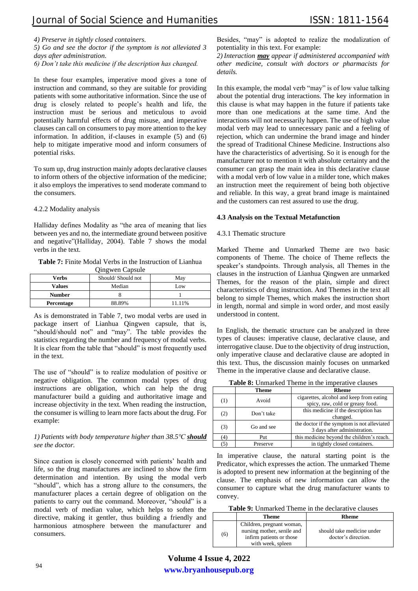*4) Preserve in tightly closed containers.*

*5) Go and see the doctor if the symptom is not alleviated 3 days after administration.*

*6) Don't take this medicine if the description has changed.*

In these four examples, imperative mood gives a tone of instruction and command, so they are suitable for providing patients with some authoritative information. Since the use of drug is closely related to people's health and life, the instruction must be serious and meticulous to avoid potentially harmful effects of drug misuse, and imperative clauses can call on consumers to pay more attention to the key information. In addition, if-clauses in example (5) and (6) help to mitigate imperative mood and inform consumers of potential risks.

To sum up, drug instruction mainly adopts declarative clauses to inform others of the objective information of the medicine; it also employs the imperatives to send moderate command to the consumers.

## 4.2.2 Modality analysis

Halliday defines Modality as "the area of meaning that lies between yes and no, the intermediate ground between positive and negative"(Halliday, 2004). Table 7 shows the modal verbs in the text.

**Table 7:** Finite Modal Verbs in the Instruction of Lianhua Qingwen Capsule

| Verbs         | Should/Should not<br>May |        |  |  |
|---------------|--------------------------|--------|--|--|
| <b>Values</b> | Median                   | Low    |  |  |
| <b>Number</b> |                          |        |  |  |
| Percentage    | 88.89%                   | 11.11% |  |  |

As is demonstrated in Table 7, two modal verbs are used in package insert of Lianhua Qingwen capsule, that is, "should/should not" and "may". The table provides the statistics regarding the number and frequency of modal verbs. It is clear from the table that "should" is most frequently used in the text.

The use of "should" is to realize modulation of positive or negative obligation. The common modal types of drug instructions are obligation, which can help the drug manufacturer build a guiding and authoritative image and increase objectivity in the text. When reading the instruction, the consumer is willing to learn more facts about the drug. For example:

## *1) Patients with body temperature higher than 38.5℃ should see the doctor.*

Since caution is closely concerned with patients' health and life, so the drug manufactures are inclined to show the firm determination and intention. By using the modal verb "should", which has a strong allure to the consumers, the manufacturer places a certain degree of obligation on the patients to carry out the command. Moreover, "should" is a modal verb of median value, which helps to soften the directive, making it gentler, thus building a friendly and harmonious atmosphere between the manufacturer and consumers.

Besides, "may" is adopted to realize the modalization of potentiality in this text. For example:

*2) Interaction may appear if administered accompanied with other medicine, consult with doctors or pharmacists for details.*

In this example, the modal verb "may" is of low value talking about the potential drug interactions. The key information in this clause is what may happen in the future if patients take more than one medications at the same time. And the interactions will not necessarily happen. The use of high value modal verb may lead to unnecessary panic and a feeling of rejection, which can undermine the brand image and hinder the spread of Traditional Chinese Medicine. Instructions also have the characteristics of advertising. So it is enough for the manufacturer not to mention it with absolute certainty and the consumer can grasp the main idea in this declarative clause with a modal verb of low value in a milder tone, which makes an instruction meet the requirement of being both objective and reliable. In this way, a great brand image is maintained and the customers can rest assured to use the drug.

## **4.3 Analysis on the Textual Metafunction**

#### 4.3.1 Thematic structure

Marked Theme and Unmarked Theme are two basic components of Theme. The choice of Theme reflects the speaker's standpoints. Through analysis, all Themes in the clauses in the instruction of Lianhua Qingwen are unmarked Themes, for the reason of the plain, simple and direct characteristics of drug instruction. And Themes in the text all belong to simple Themes, which makes the instruction short in length, normal and simple in word order, and most easily understood in content.

In English, the thematic structure can be analyzed in three types of clauses: imperative clause, declarative clause, and interrogative clause. Due to the objectivity of drug instruction, only imperative clause and declarative clause are adopted in this text. Thus, the discussion mainly focuses on unmarked Theme in the imperative clause and declarative clause.

**Table 8:** Unmarked Theme in the imperative clauses

|     | Theme      | <b>Rheme</b>                                                                 |
|-----|------------|------------------------------------------------------------------------------|
| (1) | Avoid      | cigarettes, alcohol and keep from eating<br>spicy, raw, cold or greasy food. |
| (2) | Don't take | this medicine if the description has<br>changed.                             |
| (3) | Go and see | the doctor if the symptom is not alleviated<br>3 days after administration.  |
| (4) | Put        | this medicine beyond the children's reach.                                   |
| (5) | Preserve   | in tightly closed containers.                                                |

In imperative clause, the natural starting point is the Predicator, which expresses the action. The unmarked Theme is adopted to present new information at the beginning of the clause. The emphasis of new information can allow the consumer to capture what the drug manufacturer wants to convey.

**Table 9:** Unmarked Theme in the declarative clauses

|     | Theme                                                                                                    | Rheme                                             |
|-----|----------------------------------------------------------------------------------------------------------|---------------------------------------------------|
| (6) | Children, pregnant woman,<br>nursing mother, senile and<br>infirm patients or those<br>with week, spleen | should take medicine under<br>doctor's direction. |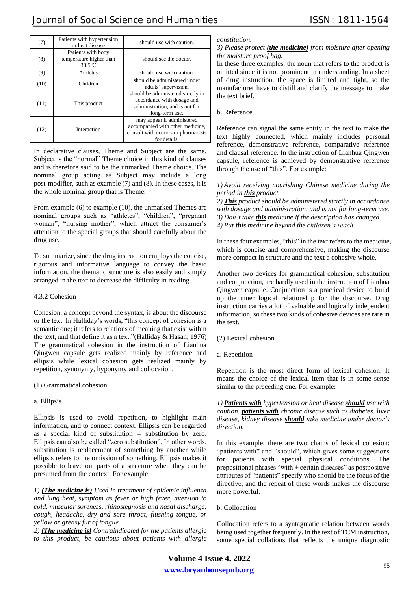| (7)  | Patients with hypertension<br>or heat disease           | should use with caution.                                                                                              |
|------|---------------------------------------------------------|-----------------------------------------------------------------------------------------------------------------------|
| (8)  | Patients with body<br>temperature higher than<br>38.5°C | should see the doctor.                                                                                                |
| (9)  | Athletes                                                | should use with caution.                                                                                              |
| (10) | Children                                                | should be administered under<br>adults' supervision.                                                                  |
| (11) | This product                                            | should be administered strictly in<br>accordance with dosage and<br>administration, and is not for<br>long-term use.  |
| (12) | Interaction                                             | may appear if administered<br>accompanied with other medicine,<br>consult with doctors or pharmacists<br>for details. |

In declarative clauses, Theme and Subject are the same. Subject is the "normal" Theme choice in this kind of clauses and is therefore said to be the unmarked Theme choice. The nominal group acting as Subject may include a long post-modifier, such as example (7) and (8). In these cases, it is the whole nominal group that is Theme.

From example (6) to example (10), the unmarked Themes are nominal groups such as "athletes", "children", "pregnant woman", "nursing mother", which attract the consumer's attention to the special groups that should carefully about the drug use.

To summarize, since the drug instruction employs the concise, rigorous and informative language to convey the basic information, the thematic structure is also easily and simply arranged in the text to decrease the difficulty in reading.

### 4.3.2 Cohesion

Cohesion, a concept beyond the syntax, is about the discourse or the text. In Halliday's words, "this concept of cohesion is a semantic one; it refers to relations of meaning that exist within the text, and that define it as a text."(Halliday & Hasan, 1976) The grammatical cohesion in the instruction of Lianhua Qingwen capsule gets realized mainly by reference and ellipsis while lexical cohesion gets realized mainly by repetition, synonymy, hyponymy and collocation.

## (1) Grammatical cohesion

## a. Ellipsis

Ellipsis is used to avoid repetition, to highlight main information, and to connect context. Ellipsis can be regarded as a special kind of substitution -- substitution by zero. Ellipsis can also be called "zero substitution". In other words, substitution is replacement of something by another while ellipsis refers to the omission of something. Ellipsis makes it possible to leave out parts of a structure when they can be presumed from the context. For example:

*1) (The medicine is) Used in treatment of epidemic influenza and lung heat, symptom as fever or high fever, aversion to cold, muscular soreness, rhinostegnosis and nasal discharge, cough, headache, dry and sore throat, flushing tongue, or yellow or greasy fur of tongue.*

*2) (The medicine is) Contraindicated for the patients allergic to this product, be cautious about patients with allergic*  *constitution.*

## *3) Please protect (the medicine) from moisture after opening the moisture proof bag.*

In these three examples, the noun that refers to the product is omitted since it is not prominent in understanding. In a sheet of drug instruction, the space is limited and tight, so the manufacturer have to distill and clarify the message to make the text brief.

## b. Reference

Reference can signal the same entity in the text to make the text highly connected, which mainly includes personal reference, demonstrative reference, comparative reference and clausal reference. In the instruction of Lianhua Qingwen capsule, reference is achieved by demonstrative reference through the use of "this". For example:

#### *1) Avoid receiving nourishing Chinese medicine during the period in this product.*

*2) This product should be administered strictly in accordance with dosage and administration, and is not for long-term use. 3) Don't take this medicine if the description has changed. 4) Put this medicine beyond the children's reach.*

In these four examples, "this" in the text refers to the medicine, which is concise and comprehensive, making the discourse more compact in structure and the text a cohesive whole.

Another two devices for grammatical cohesion, substitution and conjunction, are hardly used in the instruction of Lianhua Qingwen capsule. Conjunction is a practical device to build up the inner logical relationship for the discourse. Drug instruction carries a lot of valuable and logically independent information, so these two kinds of cohesive devices are rare in the text.

(2) Lexical cohesion

a. Repetition

Repetition is the most direct form of lexical cohesion. It means the choice of the lexical item that is in some sense similar to the preceding one. For example:

*1) Patients with hypertension or heat disease should use with caution, patients with chronic disease such as diabetes, liver disease, kidney disease should take medicine under doctor's direction.*

In this example, there are two chains of lexical cohesion: "patients with" and "should", which gives some suggestions for patients with special physical conditions. The prepositional phrases "with + certain diseases" as postpositive attributes of "patients" specify who should be the focus of the directive, and the repeat of these words makes the discourse more powerful.

## b. Collocation

Collocation refers to a syntagmatic relation between words being used together frequently. In the text of TCM instruction, some special collations that reflects the unique diagnostic

**www.bryanhousepub.org Volume 4 Issue 4, 2022**